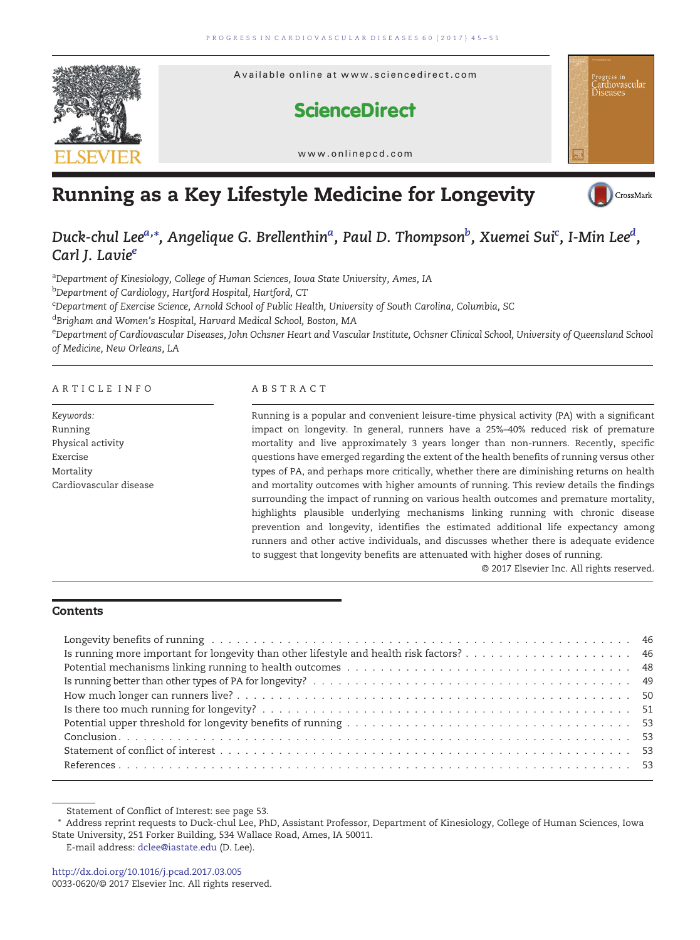

# Running as a Key Lifestyle Medicine for Longevity



## Duck-chul Lee $^{a,\ast}$ , Angelique G. Brellenthin $^{a}$ , Paul D. Thompson $^{b}$ , Xuemei Sui $^{\rm c}$ , I-Min Lee $^{d}$ , Carl J. Lavie<sup>e</sup>

<sup>a</sup>Department of Kinesiology, College of Human Sciences, Iowa State University, Ames, IA

<sup>b</sup>Department of Cardiology, Hartford Hospital, Hartford, CT

c Department of Exercise Science, Arnold School of Public Health, University of South Carolina, Columbia, SC

<sup>d</sup>Brigham and Women's Hospital, Harvard Medical School, Boston, MA

e Department of Cardiovascular Diseases, John Ochsner Heart and Vascular Institute, Ochsner Clinical School, University of Queensland School of Medicine, New Orleans, LA

#### ARTICLE INFO ABSTRACT

Keywords: Running Physical activity Exercise Mortality Cardiovascular disease

Running is a popular and convenient leisure-time physical activity (PA) with a significant impact on longevity. In general, runners have a 25%–40% reduced risk of premature mortality and live approximately 3 years longer than non-runners. Recently, specific questions have emerged regarding the extent of the health benefits of running versus other types of PA, and perhaps more critically, whether there are diminishing returns on health and mortality outcomes with higher amounts of running. This review details the findings surrounding the impact of running on various health outcomes and premature mortality, highlights plausible underlying mechanisms linking running with chronic disease prevention and longevity, identifies the estimated additional life expectancy among runners and other active individuals, and discusses whether there is adequate evidence to suggest that longevity benefits are attenuated with higher doses of running.

© 2017 Elsevier Inc. All rights reserved.

#### **Contents**

Statement of Conflict of Interest: see page 53.

<sup>⁎</sup> Address reprint requests to Duck-chul Lee, PhD, Assistant Professor, Department of Kinesiology, College of Human Sciences, Iowa State University, 251 Forker Building, 534 Wallace Road, Ames, IA 50011.

E-mail address: [dclee@iastate.edu](mailto:dclee@iastate.edu) (D. Lee).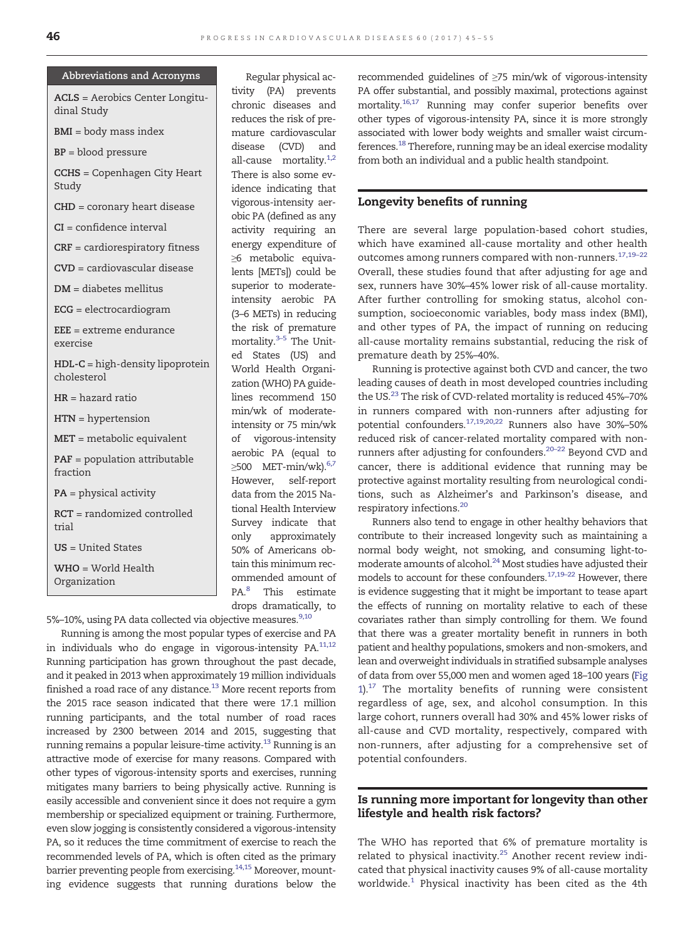#### Abbreviations and Acronyms

ACLS = Aerobics Center Longitudinal Study

BMI = body mass index

BP = blood pressure

CCHS = Copenhagen City Heart Study

CHD = coronary heart disease

CI = confidence interval

CRF = cardiorespiratory fitness

CVD = cardiovascular disease

DM = diabetes mellitus

ECG = electrocardiogram

EEE = extreme endurance exercise

HDL-C = high-density lipoprotein cholesterol

HR = hazard ratio

HTN = hypertension

MET = metabolic equivalent

PAF = population attributable fraction

PA = physical activity

RCT = randomized controlled trial

US = United States

WHO = World Health Organization

tivity (PA) prevents chronic diseases and reduces the risk of premature cardiovascular disease (CVD) and all-cause mortality. $1,2$ There is also some evidence indicating that vigorous-intensity aerobic PA (defined as any activity requiring an energy expenditure of ≥6 metabolic equivalents [METs]) could be superior to moderateintensity aerobic PA (3–6 METs) in reducing the risk of premature mortality[.](#page-9-0)<sup>[3](#page-9-0)-5</sup> The United States (US) and World Health Organization (WHO) PA guidelines recommend 150 min/wk of moderateintensity or 75 min/wk of vigorous-intensity aerobic PA (equal to  $≥$ 500 MET-min/wk)[.](#page-9-0) $6,7$ However, self-report data from the 2015 National Health Interview Survey indicate that only approximately 50% of Americans obtain this minimum recommended amount of PA.<sup>8</sup> This estimate drops dramatically, to

Regular physical ac-

5%–10%, using PA data collected via objective measures[.](#page-9-0)<sup>[9,10](#page-9-0)</sup>

Running is among the most popular types of exercise and PA in individuals who do engage in vigorous-intensity PA. $11,12$ Running participation has grown throughout the past decade, and it peaked in 2013 when approximately 19 million individuals finished a road race of any distance. $^{13}$  More recent reports from the 2015 race season indicated that there were 17.1 million running participants, and the total number of road races increased by 2300 between 2014 and 2015, suggesting that running remains a popular leisure-time activity.<sup>13</sup> Running is an attractive mode of exercise for many reasons. Compared with other types of vigorous-intensity sports and exercises, running mitigates many barriers to being physically active. Running is easily accessible and convenient since it does not require a gym membership or specialized equipment or training. Furthermore, even slow jogging is consistently considered a vigorous-intensity PA, so it reduces the time commitment of exercise to reach the recommended levels of PA, which is often cited as the primary barrier preventing people from exercising.<sup>14,15</sup> Moreover, mounting evidence suggests that running durations below the

recommended guidelines of ≥75 min/wk of vigorous-intensity PA offer substantial, and possibly maximal, protections against mortality[.16,17](#page-9-0) Running may confer superior benefits over other types of vigorous-intensity PA, since it is more strongly associated with lower body weights and smaller waist circumferences.<sup>18</sup> Therefore, running may be an ideal exercise modality from both an individual and a public health standpoint.

#### Longevity benefits of running

There are several large population-based cohort studies, which have examined all-cause mortality and other health outcomes among runners compared with non-runners[.](#page-9-0)<sup>[17,19](#page-9-0)-22</sup> Overall, these studies found that after adjusting for age and sex, runners have 30%–45% lower risk of all-cause mortality. After further controlling for smoking status, alcohol consumption, socioeconomic variables, body mass index (BMI), and other types of PA, the impact of running on reducing all-cause mortality remains substantial, reducing the risk of premature death by 25%–40%.

Running is protective against both CVD and cancer, the two leading causes of death in most developed countries including the US[.](#page-9-0)<sup>[23](#page-9-0)</sup> The risk of CVD-related mortality is reduced 45%-70% in runners compared with non-runners after adjusting for potential confounders[.](#page-9-0)[17,19,20,22](#page-9-0) Runners also have 30%–50% reduced risk of cancer-related mortality compared with nonrunners after adjusting for confounders[.20](#page-9-0)–<sup>22</sup> Beyond CVD and cancer, there is additional evidence that running may be protective against mortality resulting from neurological conditions, such as Alzheimer's and Parkinson's disease, and respiratory infections[.](#page-9-0)<sup>[20](#page-9-0)</sup>

Runners also tend to engage in other healthy behaviors that contribute to their increased longevity such as maintaining a normal body weight, not smoking, and consuming light-tomoderate amounts of alcohol. $^{24}$  Most studies have adjusted their models to account for these confounders[.](#page-9-0)[17,19](#page-9-0)–<sup>22</sup> However, there is evidence suggesting that it might be important to tease apart the effects of running on mortality relative to each of these covariates rather than simply controlling for them. We found that there was a greater mortality benefit in runners in both patient and healthy populations, smokers and non-smokers, and lean and overweight individuals in stratified subsample analyses of data from over 55,000 men and women aged 18–100 years [\(Fig](#page-2-0)  $1$ ).<sup>17</sup> The mortality benefits of running were consistent regardless of age, sex, and alcohol consumption. In this large cohort, runners overall had 30% and 45% lower risks of all-cause and CVD mortality, respectively, compared with non-runners, after adjusting for a comprehensive set of potential confounders.

#### Is running more important for longevity than other lifestyle and health risk factors?

The WHO has reported that 6% of premature mortality is related to physical inactivity[.](#page-9-0) $25$  Another recent review indicated that physical inactivity causes 9% of all-cause mortality worldwide[.](#page-8-0)[1](#page-8-0) Physical inactivity has been cited as the 4th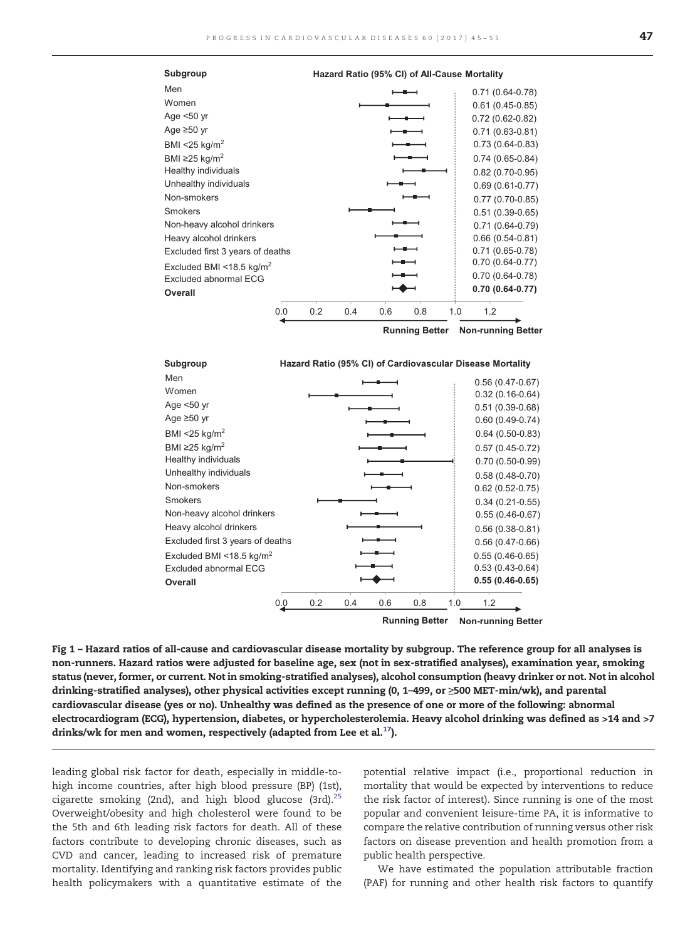<span id="page-2-0"></span>



**Running Better Non-running Better**

Fig 1 – Hazard ratios of all-cause and cardiovascular disease mortality by subgroup. The reference group for all analyses is non-runners. Hazard ratios were adjusted for baseline age, sex (not in sex-stratified analyses), examination year, smoking status (never, former, or current. Not in smoking-stratified analyses), alcohol consumption (heavy drinker or not. Not in alcohol drinking-stratified analyses), other physical activities except running (0, 1–499, or ≥500 MET-min/wk), and parental cardiovascular disease (yes or no). Unhealthy was defined as the presence of one or more of the following: abnormal electrocardiogram (ECG), hypertension, diabetes, or hypercholesterolemia. Heavy alcohol drinking was defined as >14 and >7 drinks/wk for men and women, respectively (adapted from Lee et al[.](#page-9-0) $^{17}$  $^{17}$  $^{17}$ ).

leading global risk factor for death, especially in middle-tohigh income countries, after high blood pressure (BP) (1st), cigarette smoking (2nd), and high blood glucose (3rd)[.](#page-9-0) $25$ Overweight/obesity and high cholesterol were found to be the 5th and 6th leading risk factors for death. All of these factors contribute to developing chronic diseases, such as CVD and cancer, leading to increased risk of premature mortality. Identifying and ranking risk factors provides public health policymakers with a quantitative estimate of the potential relative impact (i.e., proportional reduction in mortality that would be expected by interventions to reduce the risk factor of interest). Since running is one of the most popular and convenient leisure-time PA, it is informative to compare the relative contribution of running versus other risk factors on disease prevention and health promotion from a public health perspective.

We have estimated the population attributable fraction (PAF) for running and other health risk factors to quantify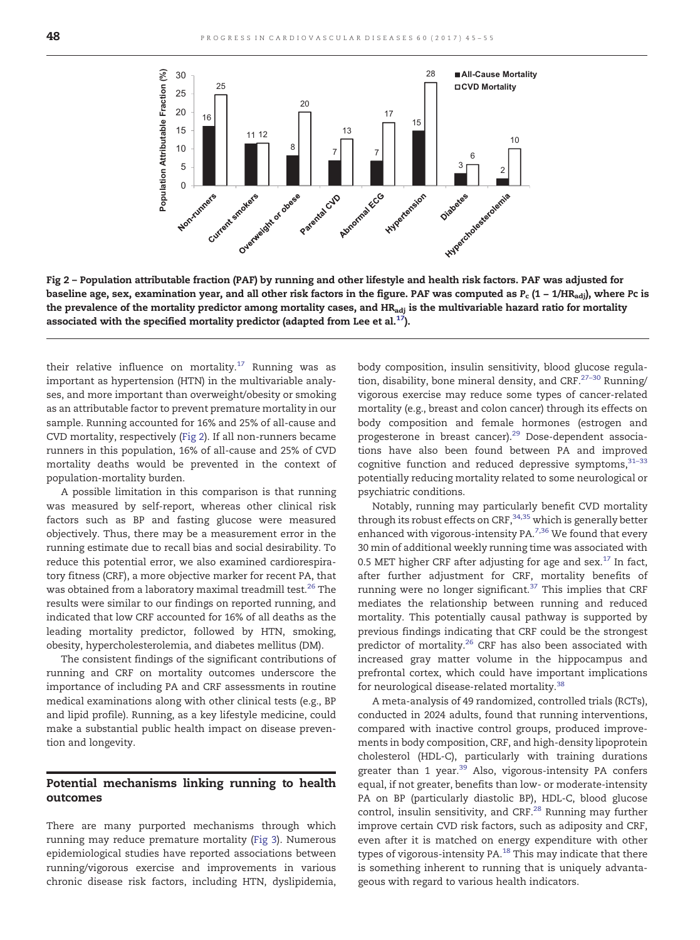

Fig 2 – Population attributable fraction (PAF) by running and other lifestyle and health risk factors. PAF was adjusted for baseline age, sex, examination year, and all other risk factors in the figure. PAF was computed as  $P_c$  (1 – 1/HR<sub>adi</sub>), where Pc is the prevalence of the mortality predictor among mortality cases, and HR<sub>adj</sub> is the multivariable hazard ratio for mortality associated with the specified mortality predictor (adapted from Lee et al[.](#page-9-0) $^{17}$  $^{17}$  $^{17}$ ).

their relative influence on mortality[.](#page-9-0)<sup>[17](#page-9-0)</sup> Running was as important as hypertension (HTN) in the multivariable analyses, and more important than overweight/obesity or smoking as an attributable factor to prevent premature mortality in our sample. Running accounted for 16% and 25% of all-cause and CVD mortality, respectively (Fig 2). If all non-runners became runners in this population, 16% of all-cause and 25% of CVD mortality deaths would be prevented in the context of population-mortality burden.

A possible limitation in this comparison is that running was measured by self-report, whereas other clinical risk factors such as BP and fasting glucose were measured objectively. Thus, there may be a measurement error in the running estimate due to recall bias and social desirability. To reduce this potential error, we also examined cardiorespiratory fitness (CRF), a more objective marker for recent PA, that was obtained from a laboratory maximal treadmill test[.](#page-9-0)<sup>[26](#page-9-0)</sup> The results were similar to our findings on reported running, and indicated that low CRF accounted for 16% of all deaths as the leading mortality predictor, followed by HTN, smoking, obesity, hypercholesterolemia, and diabetes mellitus (DM).

The consistent findings of the significant contributions of running and CRF on mortality outcomes underscore the importance of including PA and CRF assessments in routine medical examinations along with other clinical tests (e.g., BP and lipid profile). Running, as a key lifestyle medicine, could make a substantial public health impact on disease prevention and longevity.

#### Potential mechanisms linking running to health outcomes

There are many purported mechanisms through which running may reduce premature mortality ([Fig 3\)](#page-4-0). Numerous epidemiological studies have reported associations between running/vigorous exercise and improvements in various chronic disease risk factors, including HTN, dyslipidemia, body composition, insulin sensitivity, blood glucose regula-tion, disability, bone mineral density, and CRF[.](#page-9-0)<sup>[27](#page-9-0)–30</sup> Running/ vigorous exercise may reduce some types of cancer-related mortality (e.g., breast and colon cancer) through its effects on body composition and female hormones (estrogen and progesterone in breast cancer)[.](#page-9-0)<sup>[29](#page-9-0)</sup> Dose-dependent associations have also been found between PA and improved cognitive function and reduced depressive symptoms[,](#page-9-0)  $31-33$  $31-33$ potentially reducing mortality related to some neurological or psychiatric conditions.

Notably, running may particularly benefit CVD mortality through its robust effects on  $CRF$ [,](#page-9-0)  $34,35$  which is generally better enhanced with vigorous-intensity  $PA.^{7,36}$  $PA.^{7,36}$  $PA.^{7,36}$  $PA.^{7,36}$  $PA.^{7,36}$  We found that every 30 min of additional weekly running time was associated with 0[.](#page-9-0)5 MET higher CRF after adjusting for age and  $sex.^{17}$  $sex.^{17}$  $sex.^{17}$  In fact, after further adjustment for CRF, mortality benefits of running were no longer significant[.](#page-9-0)[37](#page-9-0) This implies that CRF mediates the relationship between running and reduced mortality. This potentially causal pathway is supported by previous findings indicating that CRF could be the strongest predictor of mortality[.](#page-9-0)<sup>[26](#page-9-0)</sup> CRF has also been associated with increased gray matter volume in the hippocampus and prefrontal cortex, which could have important implications for neurological disease-related mortality[.](#page-9-0)[38](#page-9-0)

A meta-analysis of 49 randomized, controlled trials (RCTs), conducted in 2024 adults, found that running interventions, compared with inactive control groups, produced improvements in body composition, CRF, and high-density lipoprotein cholesterol (HDL-C), particularly with training durations greater than 1 year[.](#page-9-0)<sup>[39](#page-9-0)</sup> Also, vigorous-intensity PA confers equal, if not greater, benefits than low- or moderate-intensity PA on BP (particularly diastolic BP), HDL-C, blood glucose control, insulin sensitivity, and CRF[.](#page-9-0)<sup>[28](#page-9-0)</sup> Running may further improve certain CVD risk factors, such as adiposity and CRF, even after it is matched on energy expenditure with other types of vigorous-intensity PA[.](#page-9-0) $^{18}$  $^{18}$  $^{18}$  This may indicate that there is something inherent to running that is uniquely advantageous with regard to various health indicators.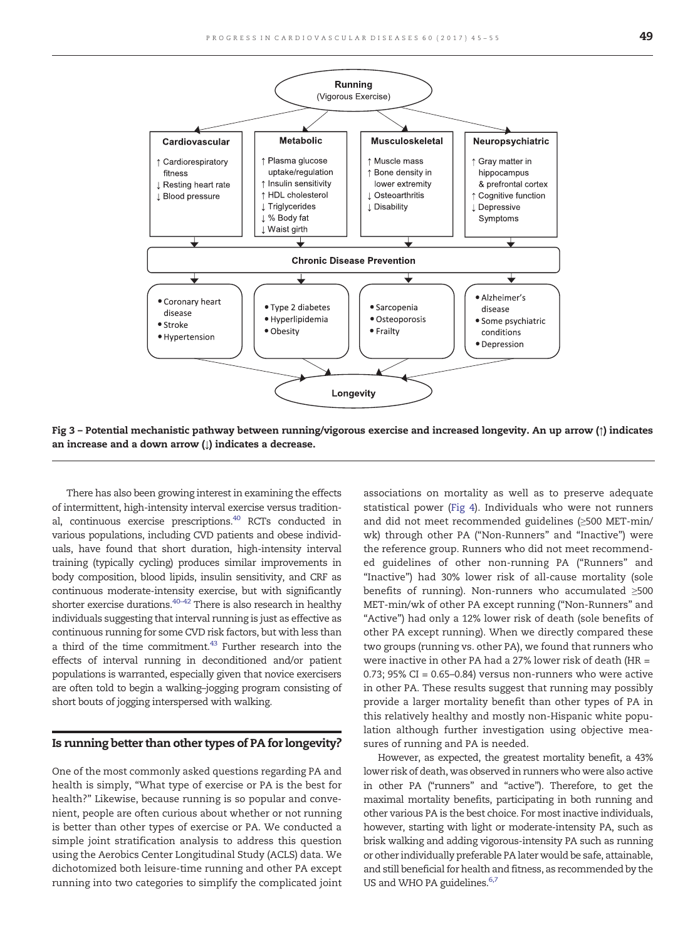<span id="page-4-0"></span>

Fig 3 – Potential mechanistic pathway between running/vigorous exercise and increased longevity. An up arrow (↑) indicates an increase and a down arrow  $( \downarrow )$  indicates a decrease.

There has also been growing interest in examining the effects of intermittent, high-intensity interval exercise versus traditional, continuous exercise prescriptions.<sup>40</sup> RCTs conducted in various populations, including CVD patients and obese individuals, have found that short duration, high-intensity interval training (typically cycling) produces similar improvements in body composition, blood lipids, insulin sensitivity, and CRF as continuous moderate-intensity exercise, but with significantly shorter exercise durations[.40](#page-9-0)–<sup>42</sup> There is also research in healthy individuals suggesting that interval running is just as effective as continuous running for some CVD risk factors, but with less than a third of the time commitment[.](#page-10-0)<sup>[43](#page-10-0)</sup> Further research into the effects of interval running in deconditioned and/or patient populations is warranted, especially given that novice exercisers are often told to begin a walking–jogging program consisting of short bouts of jogging interspersed with walking.

#### Is running better than other types of PA for longevity?

One of the most commonly asked questions regarding PA and health is simply, "What type of exercise or PA is the best for health?" Likewise, because running is so popular and convenient, people are often curious about whether or not running is better than other types of exercise or PA. We conducted a simple joint stratification analysis to address this question using the Aerobics Center Longitudinal Study (ACLS) data. We dichotomized both leisure-time running and other PA except running into two categories to simplify the complicated joint associations on mortality as well as to preserve adequate statistical power [\(Fig 4\)](#page-5-0). Individuals who were not runners and did not meet recommended guidelines (≥500 MET-min/ wk) through other PA ("Non-Runners" and "Inactive") were the reference group. Runners who did not meet recommended guidelines of other non-running PA ("Runners" and "Inactive") had 30% lower risk of all-cause mortality (sole benefits of running). Non-runners who accumulated ≥500 MET-min/wk of other PA except running ("Non-Runners" and "Active") had only a 12% lower risk of death (sole benefits of other PA except running). When we directly compared these two groups (running vs. other PA), we found that runners who were inactive in other PA had a 27% lower risk of death (HR =  $0.73$ ;  $95\%$  CI = 0.65-0.84) versus non-runners who were active in other PA. These results suggest that running may possibly provide a larger mortality benefit than other types of PA in this relatively healthy and mostly non-Hispanic white population although further investigation using objective measures of running and PA is needed.

However, as expected, the greatest mortality benefit, a 43% lower risk of death, was observed in runners who were also active in other PA ("runners" and "active"). Therefore, to get the maximal mortality benefits, participating in both running and other various PA is the best choice. For most inactive individuals, however, starting with light or moderate-intensity PA, such as brisk walking and adding vigorous-intensity PA such as running or other individually preferable PA later would be safe, attainable, and still beneficial for health and fitness, as recommended by the US and WHO PA guidelines.<sup>6,7</sup>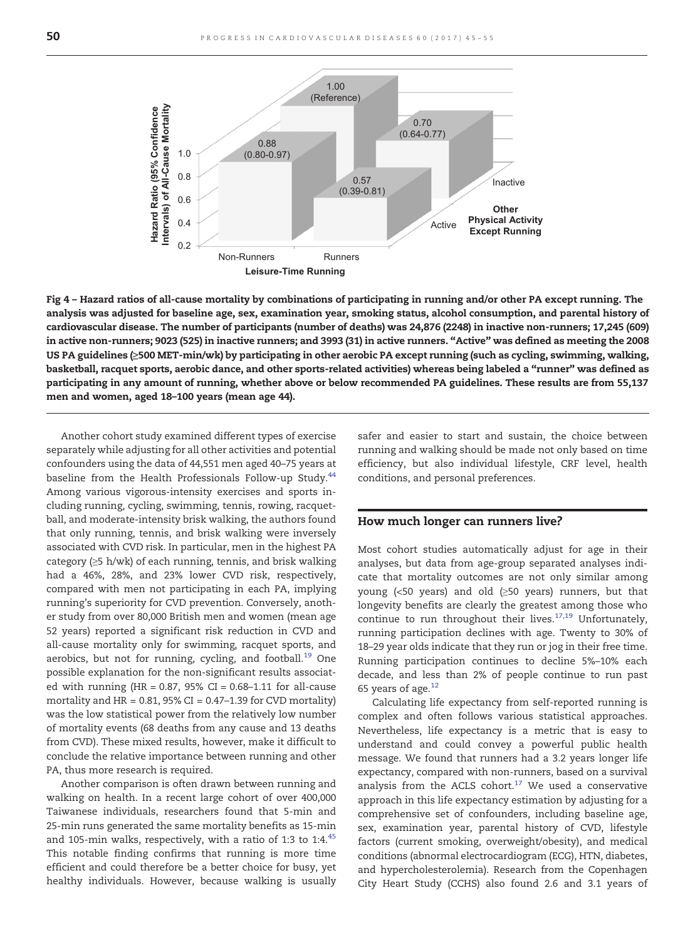<span id="page-5-0"></span>

Fig 4 – Hazard ratios of all-cause mortality by combinations of participating in running and/or other PA except running. The analysis was adjusted for baseline age, sex, examination year, smoking status, alcohol consumption, and parental history of cardiovascular disease. The number of participants (number of deaths) was 24,876 (2248) in inactive non-runners; 17,245 (609) in active non-runners; 9023 (525) in inactive runners; and 3993 (31) in active runners. "Active" was defined as meeting the 2008 US PA guidelines (≥500 MET-min/wk) by participating in other aerobic PA except running (such as cycling, swimming, walking, basketball, racquet sports, aerobic dance, and other sports-related activities) whereas being labeled a "runner" was defined as participating in any amount of running, whether above or below recommended PA guidelines. These results are from 55,137 men and women, aged 18–100 years (mean age 44).

Another cohort study examined different types of exercise separately while adjusting for all other activities and potential confounders using the data of 44,551 men aged 40–75 years at baseline from the Health Professionals Follow-up Study[.](#page-10-0)<sup>[44](#page-10-0)</sup> Among various vigorous-intensity exercises and sports including running, cycling, swimming, tennis, rowing, racquetball, and moderate-intensity brisk walking, the authors found that only running, tennis, and brisk walking were inversely associated with CVD risk. In particular, men in the highest PA category (≥5 h/wk) of each running, tennis, and brisk walking had a 46%, 28%, and 23% lower CVD risk, respectively, compared with men not participating in each PA, implying running's superiority for CVD prevention. Conversely, another study from over 80,000 British men and women (mean age 52 years) reported a significant risk reduction in CVD and all-cause mortality only for swimming, racquet sports, and aerobics, but not for running, cycling, and football[.](#page-9-0)<sup>[19](#page-9-0)</sup> One possible explanation for the non-significant results associated with running (HR =  $0.87$ ,  $95\%$  CI =  $0.68-1.11$  for all-cause mortality and  $HR = 0.81$ , 95% CI = 0.47–1.39 for CVD mortality) was the low statistical power from the relatively low number of mortality events (68 deaths from any cause and 13 deaths from CVD). These mixed results, however, make it difficult to conclude the relative importance between running and other PA, thus more research is required.

Another comparison is often drawn between running and walking on health. In a recent large cohort of over 400,000 Taiwanese individuals, researchers found that 5-min and 25-min runs generated the same mortality benefits as 15-min and 105-min walks, respectively, with a ratio of 1:3 to 1:4[.](#page-10-0) $45$ This notable finding confirms that running is more time efficient and could therefore be a better choice for busy, yet healthy individuals. However, because walking is usually safer and easier to start and sustain, the choice between running and walking should be made not only based on time efficiency, but also individual lifestyle, CRF level, health conditions, and personal preferences.

#### How much longer can runners live?

Most cohort studies automatically adjust for age in their analyses, but data from age-group separated analyses indicate that mortality outcomes are not only similar among young (<50 years) and old (≥50 years) runners, but that longevity benefits are clearly the greatest among those who continue to run throughout their lives[.](#page-9-0) $17,19$  Unfortunately, running participation declines with age. Twenty to 30% of 18–29 year olds indicate that they run or jog in their free time. Running participation continues to decline 5%–10% each decade, and less than 2% of people continue to run past 65 years of age[.](#page-9-0) $12$ 

Calculating life expectancy from self-reported running is complex and often follows various statistical approaches. Nevertheless, life expectancy is a metric that is easy to understand and could convey a powerful public health message. We found that runners had a 3.2 years longer life expectancy, compared with non-runners, based on a survival analysis from the ACLS cohort[.](#page-9-0) $17$  We used a conservative approach in this life expectancy estimation by adjusting for a comprehensive set of confounders, including baseline age, sex, examination year, parental history of CVD, lifestyle factors (current smoking, overweight/obesity), and medical conditions (abnormal electrocardiogram (ECG), HTN, diabetes, and hypercholesterolemia). Research from the Copenhagen City Heart Study (CCHS) also found 2.6 and 3.1 years of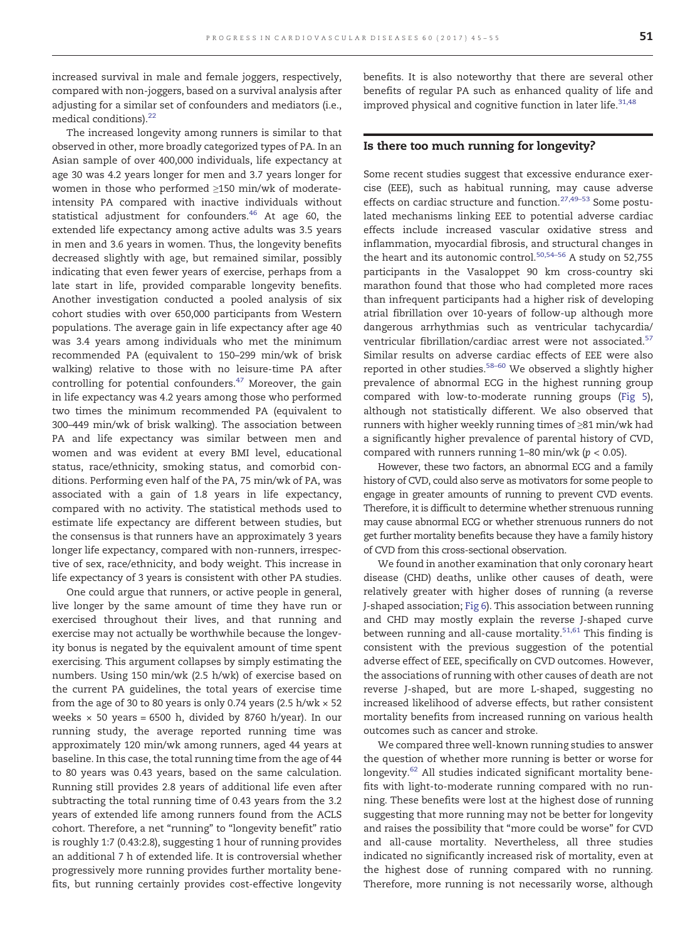increased survival in male and female joggers, respectively, compared with non-joggers, based on a survival analysis after adjusting for a similar set of confounders and mediators (i.e., medical conditions)[.](#page-9-0)<sup>[22](#page-9-0)</sup>

The increased longevity among runners is similar to that observed in other, more broadly categorized types of PA. In an Asian sample of over 400,000 individuals, life expectancy at age 30 was 4.2 years longer for men and 3.7 years longer for women in those who performed ≥150 min/wk of moderateintensity PA compared with inactive individuals without statistical adjustment for confounders[.](#page-10-0) $46$  At age 60, the extended life expectancy among active adults was 3.5 years in men and 3.6 years in women. Thus, the longevity benefits decreased slightly with age, but remained similar, possibly indicating that even fewer years of exercise, perhaps from a late start in life, provided comparable longevity benefits. Another investigation conducted a pooled analysis of six cohort studies with over 650,000 participants from Western populations. The average gain in life expectancy after age 40 was 3.4 years among individuals who met the minimum recommended PA (equivalent to 150–299 min/wk of brisk walking) relative to those with no leisure-time PA after controlling for potential confounders[.](#page-10-0)[47](#page-10-0) Moreover, the gain in life expectancy was 4.2 years among those who performed two times the minimum recommended PA (equivalent to 300–449 min/wk of brisk walking). The association between PA and life expectancy was similar between men and women and was evident at every BMI level, educational status, race/ethnicity, smoking status, and comorbid conditions. Performing even half of the PA, 75 min/wk of PA, was associated with a gain of 1.8 years in life expectancy, compared with no activity. The statistical methods used to estimate life expectancy are different between studies, but the consensus is that runners have an approximately 3 years longer life expectancy, compared with non-runners, irrespective of sex, race/ethnicity, and body weight. This increase in life expectancy of 3 years is consistent with other PA studies.

One could argue that runners, or active people in general, live longer by the same amount of time they have run or exercised throughout their lives, and that running and exercise may not actually be worthwhile because the longevity bonus is negated by the equivalent amount of time spent exercising. This argument collapses by simply estimating the numbers. Using 150 min/wk (2.5 h/wk) of exercise based on the current PA guidelines, the total years of exercise time from the age of 30 to 80 years is only 0.74 years (2.5 h/wk  $\times$  52 weeks  $\times$  50 years = 6500 h, divided by 8760 h/year). In our running study, the average reported running time was approximately 120 min/wk among runners, aged 44 years at baseline. In this case, the total running time from the age of 44 to 80 years was 0.43 years, based on the same calculation. Running still provides 2.8 years of additional life even after subtracting the total running time of 0.43 years from the 3.2 years of extended life among runners found from the ACLS cohort. Therefore, a net "running" to "longevity benefit" ratio is roughly 1:7 (0.43:2.8), suggesting 1 hour of running provides an additional 7 h of extended life. It is controversial whether progressively more running provides further mortality benefits, but running certainly provides cost-effective longevity

benefits. It is also noteworthy that there are several other benefits of regular PA such as enhanced quality of life and improved physical and cognitive function in later life[.](#page-9-0) $31,48$ 

#### Is there too much running for longevity?

Some recent studies suggest that excessive endurance exercise (EEE), such as habitual running, may cause adverse effects on cardiac structure and function[.](#page-9-0)<sup>[27,49](#page-9-0)-53</sup> Some postulated mechanisms linking EEE to potential adverse cardiac effects include increased vascular oxidative stress and inflammation, myocardial fibrosis, and structural changes in the heart and its autonomic control[.](#page-10-0)<sup>[50,54](#page-10-0)–56</sup> A study on 52,755 participants in the Vasaloppet 90 km cross-country ski marathon found that those who had completed more races than infrequent participants had a higher risk of developing atrial fibrillation over 10-years of follow-up although more dangerous arrhythmias such as ventricular tachycardia/ ventricular fibrillation/cardiac arrest were not associated[.](#page-10-0)<sup>[57](#page-10-0)</sup> Similar results on adverse cardiac effects of EEE were also reported in other studies[.](#page-10-0)<sup>[58](#page-10-0)–60</sup> We observed a slightly higher prevalence of abnormal ECG in the highest running group compared with low-to-moderate running groups [\(Fig 5](#page-7-0)), although not statistically different. We also observed that runners with higher weekly running times of ≥81 min/wk had a significantly higher prevalence of parental history of CVD, compared with runners running  $1-80$  min/wk ( $p < 0.05$ ).

However, these two factors, an abnormal ECG and a family history of CVD, could also serve as motivators for some people to engage in greater amounts of running to prevent CVD events. Therefore, it is difficult to determine whether strenuous running may cause abnormal ECG or whether strenuous runners do not get further mortality benefits because they have a family history of CVD from this cross-sectional observation.

We found in another examination that only coronary heart disease (CHD) deaths, unlike other causes of death, were relatively greater with higher doses of running (a reverse J-shaped association; [Fig 6](#page-7-0)). This association between running and CHD may mostly explain the reverse J-shaped curve between running and all-cause mortality[.](#page-10-0) $51,61$  This finding is consistent with the previous suggestion of the potential adverse effect of EEE, specifically on CVD outcomes. However, the associations of running with other causes of death are not reverse J-shaped, but are more L-shaped, suggesting no increased likelihood of adverse effects, but rather consistent mortality benefits from increased running on various health outcomes such as cancer and stroke.

We compared three well-known running studies to answer the question of whether more running is better or worse for longevity[.](#page-10-0)<sup>[62](#page-10-0)</sup> All studies indicated significant mortality benefits with light-to-moderate running compared with no running. These benefits were lost at the highest dose of running suggesting that more running may not be better for longevity and raises the possibility that "more could be worse" for CVD and all-cause mortality. Nevertheless, all three studies indicated no significantly increased risk of mortality, even at the highest dose of running compared with no running. Therefore, more running is not necessarily worse, although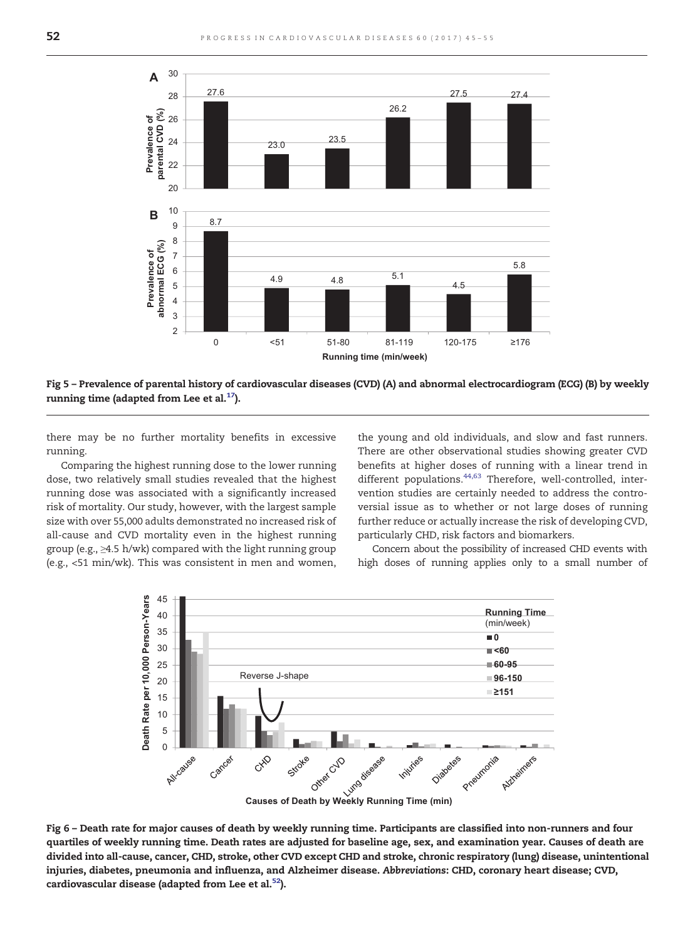<span id="page-7-0"></span>

Fig 5 – Prevalence of parental history of cardiovascular diseases (CVD) (A) and abnormal electrocardiogram (ECG) (B) by weekly running time (adapted from Lee et al[.](#page-9-0) $17$ ).

there may be no further mortality benefits in excessive running.

Comparing the highest running dose to the lower running dose, two relatively small studies revealed that the highest running dose was associated with a significantly increased risk of mortality. Our study, however, with the largest sample size with over 55,000 adults demonstrated no increased risk of all-cause and CVD mortality even in the highest running group (e.g., ≥4.5 h/wk) compared with the light running group (e.g., <51 min/wk). This was consistent in men and women, the young and old individuals, and slow and fast runners. There are other observational studies showing greater CVD benefits at higher doses of running with a linear trend in different populations[.](#page-10-0)<sup>[44,63](#page-10-0)</sup> Therefore, well-controlled, intervention studies are certainly needed to address the controversial issue as to whether or not large doses of running further reduce or actually increase the risk of developing CVD, particularly CHD, risk factors and biomarkers.

Concern about the possibility of increased CHD events with high doses of running applies only to a small number of



Fig 6 – Death rate for major causes of death by weekly running time. Participants are classified into non-runners and four quartiles of weekly running time. Death rates are adjusted for baseline age, sex, and examination year. Causes of death are divided into all-cause, cancer, CHD, stroke, other CVD except CHD and stroke, chronic respiratory (lung) disease, unintentional injuries, diabetes, pneumonia and influenza, and Alzheimer disease. Abbreviations: CHD, coronary heart disease; CVD, cardiovascular disease (adapted from Lee et al[.](#page-10-0)<sup>[52](#page-10-0)</sup>).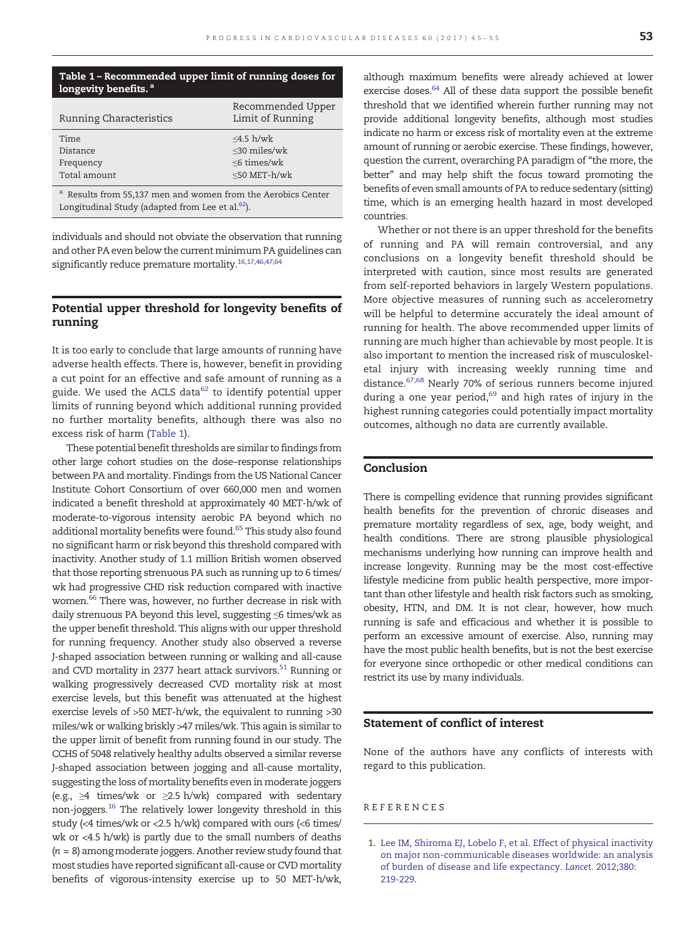<span id="page-8-0"></span>

| Table 1 – Recommended upper limit of running doses for |  |  |
|--------------------------------------------------------|--|--|
| longevity benefits. <sup>a</sup>                       |  |  |

| <b>Running Characteristics</b> | Recommended Upper<br>Limit of Running   |
|--------------------------------|-----------------------------------------|
| Time                           | $\leq4.5 \frac{\mathrm{h}}{\mathrm{w}}$ |
| Distance                       | $<$ 30 miles/wk                         |
| Frequency                      | $\leq$ 6 times/wk                       |
| Total amount                   | $<$ 50 MET- $h$ /wk                     |

Results from 55,137 men and women from the Aerobics Center Longitudinal Study (adapted from Lee et al.<sup>62</sup>).

individuals and should not obviate the observation that running and other PA even below the current minimum PA guidelines can significantly reduce premature mortality.<sup>16,17,46,47,64</sup>

### Potential upper threshold for longevity benefits of running

It is too early to conclude that large amounts of running have adverse health effects. There is, however, benefit in providing a cut point for an effective and safe amount of running as a guide. We used the ACLS d[a](#page-10-0)ta $62$  to identify potential upper limits of running beyond which additional running provided no further mortality benefits, although there was also no excess risk of harm (Table 1).

These potential benefit thresholds are similar to findings from other large cohort studies on the dose–response relationships between PA and mortality. Findings from the US National Cancer Institute Cohort Consortium of over 660,000 men and women indicated a benefit threshold at approximately 40 MET-h/wk of moderate-to-vigorous intensity aerobic PA beyond which no additional mortality benefits were found.<sup>65</sup> This study also found no significant harm or risk beyond this threshold compared with inactivity. Another study of 1.1 million British women observed that those reporting strenuous PA such as running up to 6 times/ wk had progressive CHD risk reduction compared with inactive women.<sup>66</sup> There was, however, no further decrease in risk with daily strenuous PA beyond this level, suggesting ≤6 times/wk as the upper benefit threshold. This aligns with our upper threshold for running frequency. Another study also observed a reverse J-shaped association between running or walking and all-cause and CVD mortality in 2377 heart attack survivors.<sup>51</sup> Running or walking progressively decreased CVD mortality risk at most exercise levels, but this benefit was attenuated at the highest exercise levels of >50 MET-h/wk, the equivalent to running >30 miles/wk or walking briskly >47 miles/wk. This again is similar to the upper limit of benefit from running found in our study. The CCHS of 5048 relatively healthy adults observed a similar reverse J-shaped association between jogging and all-cause mortality, suggesting the loss of mortality benefits even in moderate joggers (e.g.,  $\geq 4$  times/wk or  $\geq 2.5$  h/wk) compared with sedentary non-joggers[.](#page-9-0)[16](#page-9-0) The relatively lower longevity threshold in this study (<4 times/wk or <2.5 h/wk) compared with ours (<6 times/ wk or <4.5 h/wk) is partly due to the small numbers of deaths  $(n = 8)$  among moderate joggers. Another review study found that most studies have reported significant all-cause or CVD mortality benefits of vigorous-intensity exercise up to 50 MET-h/wk,

although maximum benefits were already achieved at lower exercise doses.<sup>64</sup> All of these data support the possible benefit threshold that we identified wherein further running may not provide additional longevity benefits, although most studies indicate no harm or excess risk of mortality even at the extreme amount of running or aerobic exercise. These findings, however, question the current, overarching PA paradigm of "the more, the better" and may help shift the focus toward promoting the benefits of even small amounts of PA to reduce sedentary (sitting) time, which is an emerging health hazard in most developed countries.

Whether or not there is an upper threshold for the benefits of running and PA will remain controversial, and any conclusions on a longevity benefit threshold should be interpreted with caution, since most results are generated from self-reported behaviors in largely Western populations. More objective measures of running such as accelerometry will be helpful to determine accurately the ideal amount of running for health. The above recommended upper limits of running are much higher than achievable by most people. It is also important to mention the increased risk of musculoskeletal injury with increasing weekly running time and distance[.](#page-10-0)<sup>[67,68](#page-10-0)</sup> Nearly 70% of serious runners become injured during a one year period[,](#page-10-0) $69$  and high rates of injury in the highest running categories could potentially impact mortality outcomes, although no data are currently available.

#### Conclusion

There is compelling evidence that running provides significant health benefits for the prevention of chronic diseases and premature mortality regardless of sex, age, body weight, and health conditions. There are strong plausible physiological mechanisms underlying how running can improve health and increase longevity. Running may be the most cost-effective lifestyle medicine from public health perspective, more important than other lifestyle and health risk factors such as smoking, obesity, HTN, and DM. It is not clear, however, how much running is safe and efficacious and whether it is possible to perform an excessive amount of exercise. Also, running may have the most public health benefits, but is not the best exercise for everyone since orthopedic or other medical conditions can restrict its use by many individuals.

#### Statement of conflict of interest

None of the authors have any conflicts of interests with regard to this publication.

#### REFERENCES

<sup>1.</sup> [Lee IM, Shiroma EJ, Lobelo F, et al. Effect of physical inactivity](http://refhub.elsevier.com/S0033-0620(17)30048-8/rf0005) [on major non-communicable diseases worldwide: an analysis](http://refhub.elsevier.com/S0033-0620(17)30048-8/rf0005) [of burden of disease and life expectancy.](http://refhub.elsevier.com/S0033-0620(17)30048-8/rf0005) Lancet. 2012;380: [219-229.](http://refhub.elsevier.com/S0033-0620(17)30048-8/rf0005)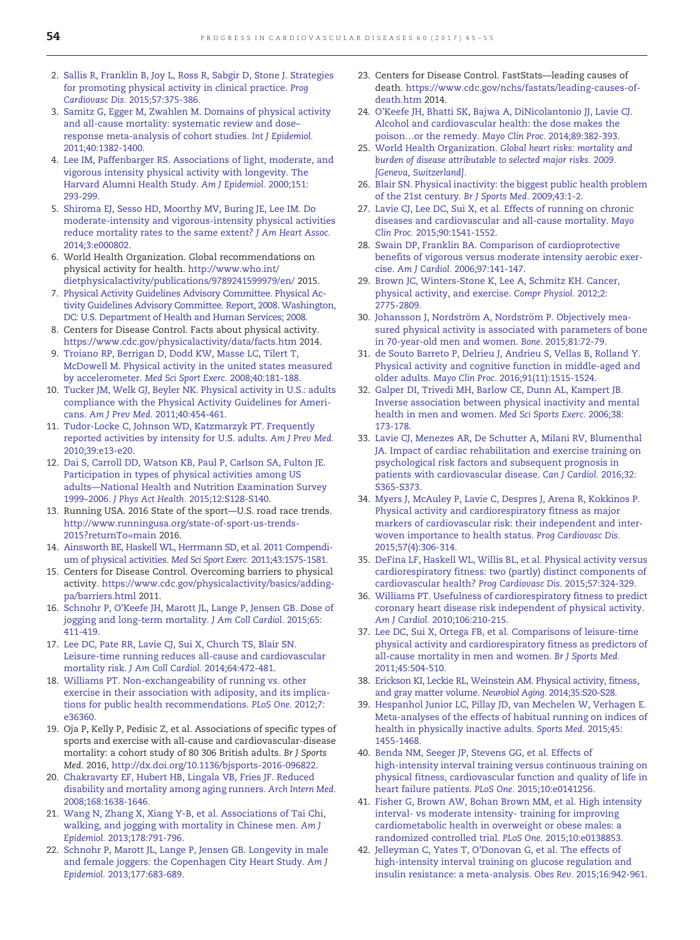- <span id="page-9-0"></span>2. [Sallis R, Franklin B, Joy L, Ross R, Sabgir D, Stone J. Strategies](http://refhub.elsevier.com/S0033-0620(17)30048-8/rf0010) [for promoting physical activity in clinical practice.](http://refhub.elsevier.com/S0033-0620(17)30048-8/rf0010) Prog Cardiovasc Dis. [2015;57:375-386.](http://refhub.elsevier.com/S0033-0620(17)30048-8/rf0010)
- 3. [Samitz G, Egger M, Zwahlen M. Domains of physical activity](http://refhub.elsevier.com/S0033-0620(17)30048-8/rf0015) [and all-cause mortality: systematic review and dose](http://refhub.elsevier.com/S0033-0620(17)30048-8/rf0015)– [response meta-analysis of cohort studies.](http://refhub.elsevier.com/S0033-0620(17)30048-8/rf0015) Int J Epidemiol. [2011;40:1382-1400.](http://refhub.elsevier.com/S0033-0620(17)30048-8/rf0015)
- 4. [Lee IM, Paffenbarger RS. Associations of light, moderate, and](http://refhub.elsevier.com/S0033-0620(17)30048-8/rf0020) [vigorous intensity physical activity with longevity. The](http://refhub.elsevier.com/S0033-0620(17)30048-8/rf0020) [Harvard Alumni Health Study.](http://refhub.elsevier.com/S0033-0620(17)30048-8/rf0020) Am J Epidemiol. 2000;151: [293-299.](http://refhub.elsevier.com/S0033-0620(17)30048-8/rf0020)
- 5. [Shiroma EJ, Sesso HD, Moorthy MV, Buring JE, Lee IM. Do](http://refhub.elsevier.com/S0033-0620(17)30048-8/rf0025) [moderate-intensity and vigorous-intensity physical activities](http://refhub.elsevier.com/S0033-0620(17)30048-8/rf0025) [reduce mortality rates to the same extent?](http://refhub.elsevier.com/S0033-0620(17)30048-8/rf0025) J Am Heart Assoc. [2014;3:e000802.](http://refhub.elsevier.com/S0033-0620(17)30048-8/rf0025)
- 6. World Health Organization. Global recommendations on physical activity for health. [http://www.who.int/](http://www.who.int/dietphysicalactivity/publications/9789241599979/en) [dietphysicalactivity/publications/9789241599979/en/](http://www.who.int/dietphysicalactivity/publications/9789241599979/en) 2015.
- 7. [Physical Activity Guidelines Advisory Committee. Physical Ac](http://refhub.elsevier.com/S0033-0620(17)30048-8/rf0035)[tivity Guidelines Advisory Committee. Report, 2008. Washington,](http://refhub.elsevier.com/S0033-0620(17)30048-8/rf0035) [DC: U.S. Department of Health and Human Services; 2008.](http://refhub.elsevier.com/S0033-0620(17)30048-8/rf0035)
- 8. Centers for Disease Control. Facts about physical activity. <https://www.cdc.gov/physicalactivity/data/facts.htm> 2014.
- 9. [Troiano RP, Berrigan D, Dodd KW, Masse LC, Tilert T,](http://refhub.elsevier.com/S0033-0620(17)30048-8/rf0045) [McDowell M. Physical activity in the united states measured](http://refhub.elsevier.com/S0033-0620(17)30048-8/rf0045) by accelerometer. [Med Sci Sport Exerc.](http://refhub.elsevier.com/S0033-0620(17)30048-8/rf0045) 2008;40:181-188.
- 10. [Tucker JM, Welk GJ, Beyler NK. Physical activity in U.S.: adults](http://refhub.elsevier.com/S0033-0620(17)30048-8/rf0050) [compliance with the Physical Activity Guidelines for Ameri](http://refhub.elsevier.com/S0033-0620(17)30048-8/rf0050)cans. Am J Prev Med. [2011;40:454-461.](http://refhub.elsevier.com/S0033-0620(17)30048-8/rf0050)
- 11. [Tudor-Locke C, Johnson WD, Katzmarzyk PT. Frequently](http://refhub.elsevier.com/S0033-0620(17)30048-8/rf0055) [reported activities by intensity for U.S. adults.](http://refhub.elsevier.com/S0033-0620(17)30048-8/rf0055) Am J Prev Med. [2010;39:e13-e20.](http://refhub.elsevier.com/S0033-0620(17)30048-8/rf0055)
- 12. [Dai S, Carroll DD, Watson KB, Paul P, Carlson SA, Fulton JE.](http://refhub.elsevier.com/S0033-0620(17)30048-8/rf0060) [Participation in types of physical activities among US](http://refhub.elsevier.com/S0033-0620(17)30048-8/rf0060) adults—[National Health and Nutrition Examination Survey](http://refhub.elsevier.com/S0033-0620(17)30048-8/rf0060) 1999–2006. J Phys Act Health. [2015;12:S128-S140.](http://refhub.elsevier.com/S0033-0620(17)30048-8/rf0060)
- 13. Running USA. 2016 State of the sport—U.S. road race trends. [http://www.runningusa.org/state-of-sport-us-trends-](http://www.runningusa.org/state-of-sport-us-trends-2015?returnTo=main)[2015?returnTo=main](http://www.runningusa.org/state-of-sport-us-trends-2015?returnTo=main) 2016.
- 14. [Ainsworth BE, Haskell WL, Herrmann SD, et al. 2011 Compendi](http://refhub.elsevier.com/S0033-0620(17)30048-8/rf0070)[um of physical activities.](http://refhub.elsevier.com/S0033-0620(17)30048-8/rf0070) Med Sci Sport Exerc. 2011;43:1575-1581.
- 15. Centers for Disease Control. Overcoming barriers to physical activity. [https://www.cdc.gov/physicalactivity/basics/adding](https://www.cdc.gov/physicalactivity/basics/adding-pa/barriers.html)[pa/barriers.html](https://www.cdc.gov/physicalactivity/basics/adding-pa/barriers.html) 2011.
- 16. [Schnohr P, O'Keefe JH, Marott JL, Lange P, Jensen GB. Dose of](http://refhub.elsevier.com/S0033-0620(17)30048-8/rf0080) [jogging and long-term mortality.](http://refhub.elsevier.com/S0033-0620(17)30048-8/rf0080) J Am Coll Cardiol. 2015;65: [411-419.](http://refhub.elsevier.com/S0033-0620(17)30048-8/rf0080)
- 17. [Lee DC, Pate RR, Lavie CJ, Sui X, Church TS, Blair SN.](http://refhub.elsevier.com/S0033-0620(17)30048-8/rf0085) [Leisure-time running reduces all-cause and cardiovascular](http://refhub.elsevier.com/S0033-0620(17)30048-8/rf0085) mortality risk. [J Am Coll Cardiol.](http://refhub.elsevier.com/S0033-0620(17)30048-8/rf0085) 2014;64:472-481.
- 18. [Williams PT. Non-exchangeability of running vs. other](http://refhub.elsevier.com/S0033-0620(17)30048-8/rf0090) [exercise in their association with adiposity, and its implica](http://refhub.elsevier.com/S0033-0620(17)30048-8/rf0090)[tions for public health recommendations.](http://refhub.elsevier.com/S0033-0620(17)30048-8/rf0090) PLoS One. 2012;7: [e36360.](http://refhub.elsevier.com/S0033-0620(17)30048-8/rf0090)
- 19. Oja P, Kelly P, Pedisic Z, et al. Associations of specific types of sports and exercise with all-cause and cardiovascular-disease mortality: a cohort study of 80 306 British adults. Br J Sports Med. 2016, http://dx.doi.org/[10.1136/bjsports-2016-096822.](http://dx.doi.org/10.1136/bjsports-2016-096822)
- 20. [Chakravarty EF, Hubert HB, Lingala VB, Fries JF. Reduced](http://refhub.elsevier.com/S0033-0620(17)30048-8/rf0100) [disability and mortality among aging runners.](http://refhub.elsevier.com/S0033-0620(17)30048-8/rf0100) Arch Intern Med. [2008;168:1638-1646.](http://refhub.elsevier.com/S0033-0620(17)30048-8/rf0100)
- 21. [Wang N, Zhang X, Xiang Y-B, et al. Associations of Tai Chi,](http://refhub.elsevier.com/S0033-0620(17)30048-8/rf0105) [walking, and jogging with mortality in Chinese men.](http://refhub.elsevier.com/S0033-0620(17)30048-8/rf0105) Am J Epidemiol. [2013;178:791-796.](http://refhub.elsevier.com/S0033-0620(17)30048-8/rf0105)
- 22. [Schnohr P, Marott JL, Lange P, Jensen GB. Longevity in male](http://refhub.elsevier.com/S0033-0620(17)30048-8/rf0110) [and female joggers: the Copenhagen City Heart Study.](http://refhub.elsevier.com/S0033-0620(17)30048-8/rf0110) Am J Epidemiol. [2013;177:683-689.](http://refhub.elsevier.com/S0033-0620(17)30048-8/rf0110)
- 23. Centers for Disease Control. FastStats—leading causes of death. [https://www.cdc.gov/nchs/fastats/leading-causes-of](https://www.cdc.gov/nchs/fastats/leading-causes-of-death.htm)[death.htm](https://www.cdc.gov/nchs/fastats/leading-causes-of-death.htm) 2014.
- 24. [O'Keefe JH, Bhatti SK, Bajwa A, DiNicolantonio JJ, Lavie CJ.](http://refhub.elsevier.com/S0033-0620(17)30048-8/rf0120) [Alcohol and cardiovascular health: the dose makes the](http://refhub.elsevier.com/S0033-0620(17)30048-8/rf0120) poison…or the remedy. Mayo Clin Proc. [2014;89:382-393.](http://refhub.elsevier.com/S0033-0620(17)30048-8/rf0120)
- 25. World Health Organization. [Global heart risks: mortality and](http://refhub.elsevier.com/S0033-0620(17)30048-8/rf0125) [burden of disease attributable to selected major risks. 2009.](http://refhub.elsevier.com/S0033-0620(17)30048-8/rf0125) [\[Geneva, Switzerland\].](http://refhub.elsevier.com/S0033-0620(17)30048-8/rf0125)
- 26. [Blair SN. Physical inactivity: the biggest public health problem](http://refhub.elsevier.com/S0033-0620(17)30048-8/rf0130) [of the 21st century.](http://refhub.elsevier.com/S0033-0620(17)30048-8/rf0130) Br J Sports Med. 2009;43:1-2.
- 27. [Lavie CJ, Lee DC, Sui X, et al. Effects of running on chronic](http://refhub.elsevier.com/S0033-0620(17)30048-8/rf0135) [diseases and cardiovascular and all-cause mortality.](http://refhub.elsevier.com/S0033-0620(17)30048-8/rf0135) Mayo Clin Proc. [2015;90:1541-1552.](http://refhub.elsevier.com/S0033-0620(17)30048-8/rf0135)
- 28. [Swain DP, Franklin BA. Comparison of cardioprotective](http://refhub.elsevier.com/S0033-0620(17)30048-8/rf0140) [benefits of vigorous versus moderate intensity aerobic exer](http://refhub.elsevier.com/S0033-0620(17)30048-8/rf0140)cise. Am J Cardiol. [2006;97:141-147.](http://refhub.elsevier.com/S0033-0620(17)30048-8/rf0140)
- 29. [Brown JC, Winters-Stone K, Lee A, Schmitz KH. Cancer,](http://refhub.elsevier.com/S0033-0620(17)30048-8/rf0145) [physical activity, and exercise.](http://refhub.elsevier.com/S0033-0620(17)30048-8/rf0145) Compr Physiol. 2012;2: [2775-2809.](http://refhub.elsevier.com/S0033-0620(17)30048-8/rf0145)
- 30. [Johansson J, Nordström A, Nordström P. Objectively mea](http://refhub.elsevier.com/S0033-0620(17)30048-8/rf0150)[sured physical activity is associated with parameters of bone](http://refhub.elsevier.com/S0033-0620(17)30048-8/rf0150) [in 70-year-old men and women.](http://refhub.elsevier.com/S0033-0620(17)30048-8/rf0150) Bone. 2015;81:72-79.
- 31. [de Souto Barreto P, Delrieu J, Andrieu S, Vellas B, Rolland Y.](http://refhub.elsevier.com/S0033-0620(17)30048-8/rf0155) [Physical activity and cognitive function in middle-aged and](http://refhub.elsevier.com/S0033-0620(17)30048-8/rf0155) older adults. Mayo Clin Proc. [2016;91\(11\):1515-1524.](http://refhub.elsevier.com/S0033-0620(17)30048-8/rf0155)
- 32. [Galper DI, Trivedi MH, Barlow CE, Dunn AL, Kampert JB.](http://refhub.elsevier.com/S0033-0620(17)30048-8/rf0160) [Inverse association between physical inactivity and mental](http://refhub.elsevier.com/S0033-0620(17)30048-8/rf0160) [health in men and women.](http://refhub.elsevier.com/S0033-0620(17)30048-8/rf0160) Med Sci Sports Exerc. 2006;38: [173-178.](http://refhub.elsevier.com/S0033-0620(17)30048-8/rf0160)
- 33. [Lavie CJ, Menezes AR, De Schutter A, Milani RV, Blumenthal](http://refhub.elsevier.com/S0033-0620(17)30048-8/rf0165) [JA. Impact of cardiac rehabilitation and exercise training on](http://refhub.elsevier.com/S0033-0620(17)30048-8/rf0165) [psychological risk factors and subsequent prognosis in](http://refhub.elsevier.com/S0033-0620(17)30048-8/rf0165) [patients with cardiovascular disease.](http://refhub.elsevier.com/S0033-0620(17)30048-8/rf0165) Can J Cardiol. 2016;32: [S365-S373.](http://refhub.elsevier.com/S0033-0620(17)30048-8/rf0165)
- 34. [Myers J, McAuley P, Lavie C, Despres J, Arena R, Kokkinos P.](http://refhub.elsevier.com/S0033-0620(17)30048-8/rf0170) [Physical activity and cardiorespiratory fitness as major](http://refhub.elsevier.com/S0033-0620(17)30048-8/rf0170) [markers of cardiovascular risk: their independent and inter](http://refhub.elsevier.com/S0033-0620(17)30048-8/rf0170)[woven importance to health status.](http://refhub.elsevier.com/S0033-0620(17)30048-8/rf0170) Prog Cardiovasc Dis. [2015;57\(4\):306-314.](http://refhub.elsevier.com/S0033-0620(17)30048-8/rf0170)
- 35. [DeFina LF, Haskell WL, Willis BL, et al. Physical activity versus](http://refhub.elsevier.com/S0033-0620(17)30048-8/rf0175) [cardiorespiratory fitness: two \(partly\) distinct components of](http://refhub.elsevier.com/S0033-0620(17)30048-8/rf0175) [cardiovascular health?](http://refhub.elsevier.com/S0033-0620(17)30048-8/rf0175) Prog Cardiovasc Dis. 2015;57:324-329.
- 36. [Williams PT. Usefulness of cardiorespiratory fitness to predict](http://refhub.elsevier.com/S0033-0620(17)30048-8/rf0180) [coronary heart disease risk independent of physical activity.](http://refhub.elsevier.com/S0033-0620(17)30048-8/rf0180) Am J Cardiol. [2010;106:210-215.](http://refhub.elsevier.com/S0033-0620(17)30048-8/rf0180)
- 37. [Lee DC, Sui X, Ortega FB, et al. Comparisons of leisure-time](http://refhub.elsevier.com/S0033-0620(17)30048-8/rf0185) [physical activity and cardiorespiratory fitness as predictors of](http://refhub.elsevier.com/S0033-0620(17)30048-8/rf0185) [all-cause mortality in men and women.](http://refhub.elsevier.com/S0033-0620(17)30048-8/rf0185) Br J Sports Med. [2011;45:504-510.](http://refhub.elsevier.com/S0033-0620(17)30048-8/rf0185)
- 38. [Erickson KI, Leckie RL, Weinstein AM. Physical activity, fitness,](http://refhub.elsevier.com/S0033-0620(17)30048-8/rf0190) [and gray matter volume.](http://refhub.elsevier.com/S0033-0620(17)30048-8/rf0190) Neurobiol Aging. 2014;35:S20-S28.
- 39. [Hespanhol Junior LC, Pillay JD, van Mechelen W, Verhagen E.](http://refhub.elsevier.com/S0033-0620(17)30048-8/rf0195) [Meta-analyses of the effects of habitual running on indices of](http://refhub.elsevier.com/S0033-0620(17)30048-8/rf0195) [health in physically inactive adults.](http://refhub.elsevier.com/S0033-0620(17)30048-8/rf0195) Sports Med. 2015;45: [1455-1468.](http://refhub.elsevier.com/S0033-0620(17)30048-8/rf0195)
- 40. [Benda NM, Seeger JP, Stevens GG, et al. Effects of](http://refhub.elsevier.com/S0033-0620(17)30048-8/rf0200) [high-intensity interval training versus continuous training on](http://refhub.elsevier.com/S0033-0620(17)30048-8/rf0200) [physical fitness, cardiovascular function and quality of life in](http://refhub.elsevier.com/S0033-0620(17)30048-8/rf0200) [heart failure patients.](http://refhub.elsevier.com/S0033-0620(17)30048-8/rf0200) PLoS One. 2015;10:e0141256.
- 41. [Fisher G, Brown AW, Bohan Brown MM, et al. High intensity](http://refhub.elsevier.com/S0033-0620(17)30048-8/rf0205) [interval- vs moderate intensity- training for improving](http://refhub.elsevier.com/S0033-0620(17)30048-8/rf0205) [cardiometabolic health in overweight or obese males: a](http://refhub.elsevier.com/S0033-0620(17)30048-8/rf0205) [randomized controlled trial.](http://refhub.elsevier.com/S0033-0620(17)30048-8/rf0205) PLoS One. 2015;10:e0138853.
- 42. [Jelleyman C, Yates T, O'Donovan G, et al. The effects of](http://refhub.elsevier.com/S0033-0620(17)30048-8/rf0210) [high-intensity interval training on glucose regulation and](http://refhub.elsevier.com/S0033-0620(17)30048-8/rf0210) [insulin resistance: a meta-analysis.](http://refhub.elsevier.com/S0033-0620(17)30048-8/rf0210) Obes Rev. 2015;16:942-961.